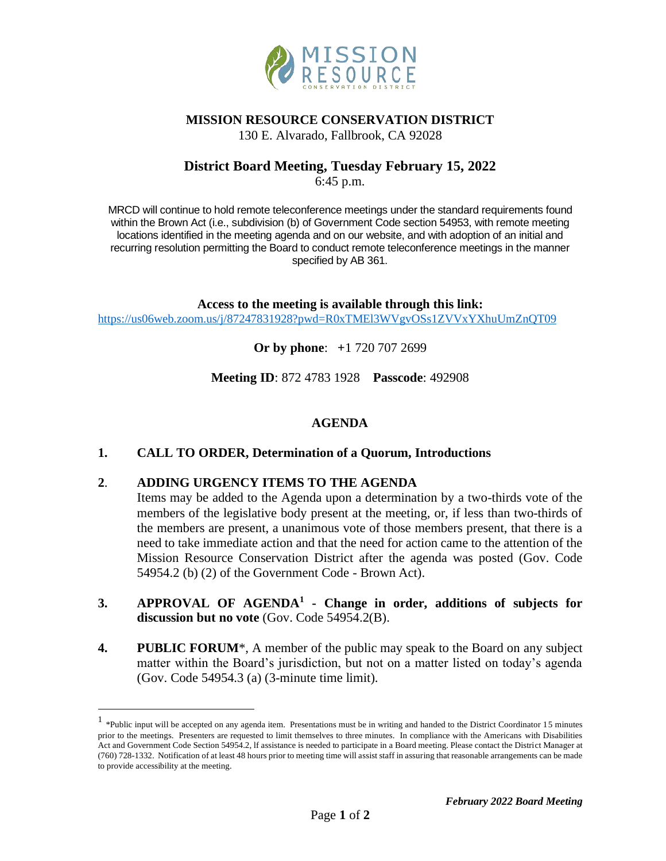

## **MISSION RESOURCE CONSERVATION DISTRICT**

130 E. Alvarado, Fallbrook, CA 92028

# **District Board Meeting, Tuesday February 15, 2022**

6:45 p.m.

MRCD will continue to hold remote teleconference meetings under the standard requirements found within the Brown Act (i.e., subdivision (b) of Government Code section 54953, with remote meeting locations identified in the meeting agenda and on our website, and with adoption of an initial and recurring resolution permitting the Board to conduct remote teleconference meetings in the manner specified by AB 361.

**Access to the meeting is available through this link:** <https://us06web.zoom.us/j/87247831928?pwd=R0xTMEl3WVgvOSs1ZVVxYXhuUmZnQT09>

**Or by phone**: **+**1 720 707 2699

**Meeting ID**: 872 4783 1928 **Passcode**: 492908

## **AGENDA**

### **1. CALL TO ORDER, Determination of a Quorum, Introductions**

### **2**. **ADDING URGENCY ITEMS TO THE AGENDA**

Items may be added to the Agenda upon a determination by a two-thirds vote of the members of the legislative body present at the meeting, or, if less than two-thirds of the members are present, a unanimous vote of those members present, that there is a need to take immediate action and that the need for action came to the attention of the Mission Resource Conservation District after the agenda was posted (Gov. Code 54954.2 (b) (2) of the Government Code - Brown Act).

- **3. APPROVAL OF AGENDA<sup>1</sup> - Change in order, additions of subjects for discussion but no vote** (Gov. Code 54954.2(B).
- **4. PUBLIC FORUM**\*, A member of the public may speak to the Board on any subject matter within the Board's jurisdiction, but not on a matter listed on today's agenda (Gov. Code 54954.3 (a) (3-minute time limit).

<sup>&</sup>lt;sup>1</sup> \*Public input will be accepted on any agenda item. Presentations must be in writing and handed to the District Coordinator 15 minutes prior to the meetings. Presenters are requested to limit themselves to three minutes. In compliance with the Americans with Disabilities Act and Government Code Section 54954.2, lf assistance is needed to participate in a Board meeting. Please contact the District Manager at (760) 728-1332. Notification of at least 48 hours prior to meeting time will assist staff in assuring that reasonable arrangements can be made to provide accessibility at the meeting.